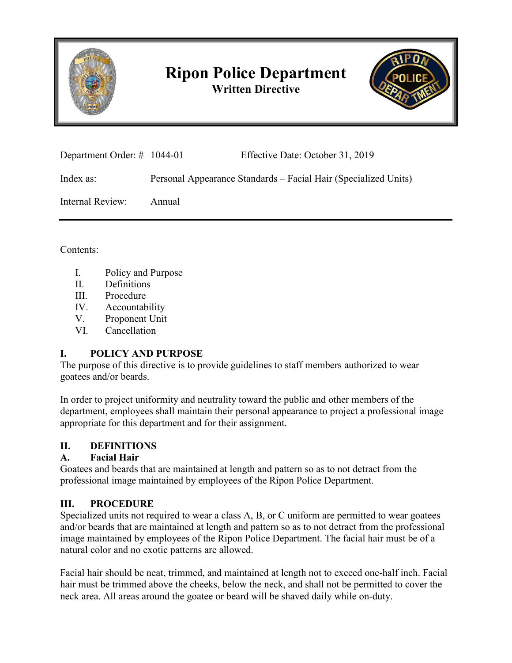

# **Ripon Police Department Written Directive**



| Department Order: $\#$ 1044-01 |        | Effective Date: October 31, 2019                                |
|--------------------------------|--------|-----------------------------------------------------------------|
| Index as:                      |        | Personal Appearance Standards – Facial Hair (Specialized Units) |
| Internal Review:               | Annual |                                                                 |

Contents:

- I. Policy and Purpose
- II. Definitions
- III. Procedure
- IV. Accountability
- V. Proponent Unit
- VI. Cancellation

### **I. POLICY AND PURPOSE**

The purpose of this directive is to provide guidelines to staff members authorized to wear goatees and/or beards.

In order to project uniformity and neutrality toward the public and other members of the department, employees shall maintain their personal appearance to project a professional image appropriate for this department and for their assignment.

# **II. DEFINITIONS**

### **A. Facial Hair**

Goatees and beards that are maintained at length and pattern so as to not detract from the professional image maintained by employees of the Ripon Police Department.

# **III. PROCEDURE**

Specialized units not required to wear a class A, B, or C uniform are permitted to wear goatees and/or beards that are maintained at length and pattern so as to not detract from the professional image maintained by employees of the Ripon Police Department. The facial hair must be of a natural color and no exotic patterns are allowed.

Facial hair should be neat, trimmed, and maintained at length not to exceed one-half inch. Facial hair must be trimmed above the cheeks, below the neck, and shall not be permitted to cover the neck area. All areas around the goatee or beard will be shaved daily while on-duty.